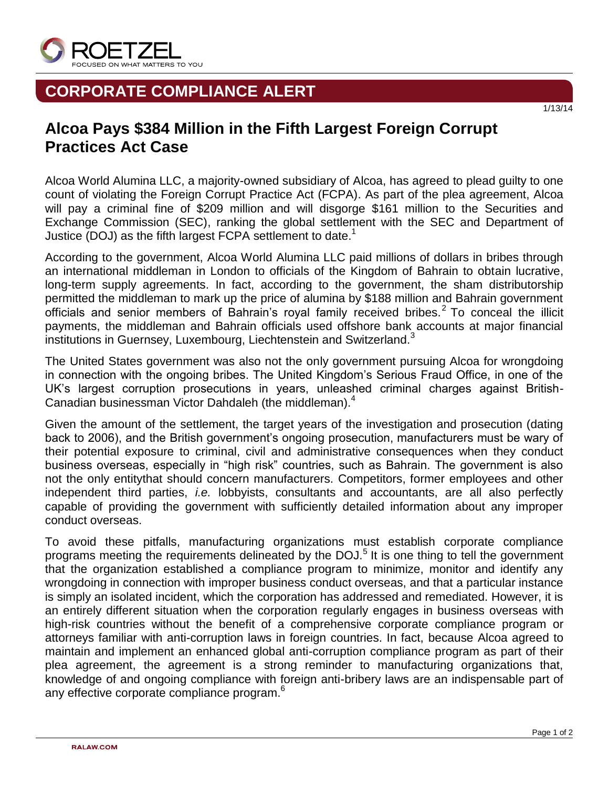

## **CORPORATE COMPLIANCE ALERT**

## **Alcoa Pays \$384 Million in the Fifth Largest Foreign Corrupt Practices Act Case**

Alcoa World Alumina LLC, a majority-owned subsidiary of Alcoa, has agreed to plead guilty to one count of violating the Foreign Corrupt Practice Act (FCPA). As part of the plea agreement, Alcoa will pay a criminal fine of \$209 million and will disgorge \$161 million to the Securities and Exchange Commission (SEC), ranking the global settlement with the SEC and Department of Justice (DOJ) as the fifth largest FCPA settlement to date.<sup>1</sup>

According to the government, Alcoa World Alumina LLC paid millions of dollars in bribes through an international middleman in London to officials of the Kingdom of Bahrain to obtain lucrative, long-term supply agreements. In fact, according to the government, the sham distributorship permitted the middleman to mark up the price of alumina by \$188 million and Bahrain government officials and senior members of Bahrain's royal family received bribes.<sup>2</sup> To conceal the illicit payments, the middleman and Bahrain officials used offshore bank accounts at major financial institutions in Guernsey, Luxembourg, Liechtenstein and Switzerland.<sup>3</sup>

The United States government was also not the only government pursuing Alcoa for wrongdoing in connection with the ongoing bribes. The United Kingdom's Serious Fraud Office, in one of the UK's largest corruption prosecutions in years, unleashed criminal charges against British-Canadian businessman Victor Dahdaleh (the middleman).<sup>4</sup>

Given the amount of the settlement, the target years of the investigation and prosecution (dating back to 2006), and the British government's ongoing prosecution, manufacturers must be wary of their potential exposure to criminal, civil and administrative consequences when they conduct business overseas, especially in "high risk" countries, such as Bahrain. The government is also not the only entitythat should concern manufacturers. Competitors, former employees and other independent third parties, *i.e.* lobbyists, consultants and accountants, are all also perfectly capable of providing the government with sufficiently detailed information about any improper conduct overseas.

To avoid these pitfalls, manufacturing organizations must establish corporate compliance programs meeting the requirements delineated by the DOJ.<sup>5</sup> It is one thing to tell the government that the organization established a compliance program to minimize, monitor and identify any wrongdoing in connection with improper business conduct overseas, and that a particular instance is simply an isolated incident, which the corporation has addressed and remediated. However, it is an entirely different situation when the corporation regularly engages in business overseas with high-risk countries without the benefit of a comprehensive corporate compliance program or attorneys familiar with anti-corruption laws in foreign countries. In fact, because Alcoa agreed to maintain and implement an enhanced global anti-corruption compliance program as part of their plea agreement, the agreement is a strong reminder to manufacturing organizations that, knowledge of and ongoing compliance with foreign anti-bribery laws are an indispensable part of any effective corporate compliance program.<sup>6</sup>

1/13/14